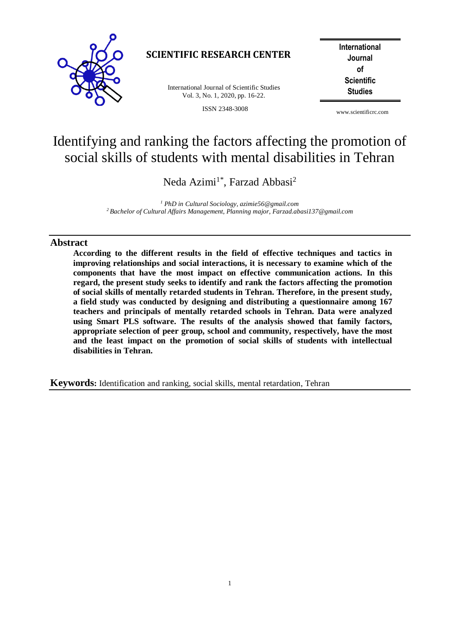

## **SCIENTIFIC RESEARCH CENTER**

**Studies** International Journal of Scientific Studies Vol. 3, No. 1, 2020, pp. 16-22.

ISSN 2348-3008

**International Journal of Scientific**

www.scientificrc.com

# Identifying and ranking the factors affecting the promotion of social skills of students with mental disabilities in Tehran

Neda Azimi<sup>1\*</sup>, Farzad Abbasi<sup>2</sup>

*<sup>1</sup> PhD in Cultural Sociology, azimie56@gmail.com <sup>2</sup>Bachelor of Cultural Affairs Management, Planning major, Farzad.abasi137@gmail.com*

### **Abstract**

**According to the different results in the field of effective techniques and tactics in improving relationships and social interactions, it is necessary to examine which of the components that have the most impact on effective communication actions. In this regard, the present study seeks to identify and rank the factors affecting the promotion of social skills of mentally retarded students in Tehran. Therefore, in the present study, a field study was conducted by designing and distributing a questionnaire among 167 teachers and principals of mentally retarded schools in Tehran. Data were analyzed using Smart PLS software. The results of the analysis showed that family factors, appropriate selection of peer group, school and community, respectively, have the most and the least impact on the promotion of social skills of students with intellectual disabilities in Tehran.**

**Keywords:** Identification and ranking, social skills, mental retardation, Tehran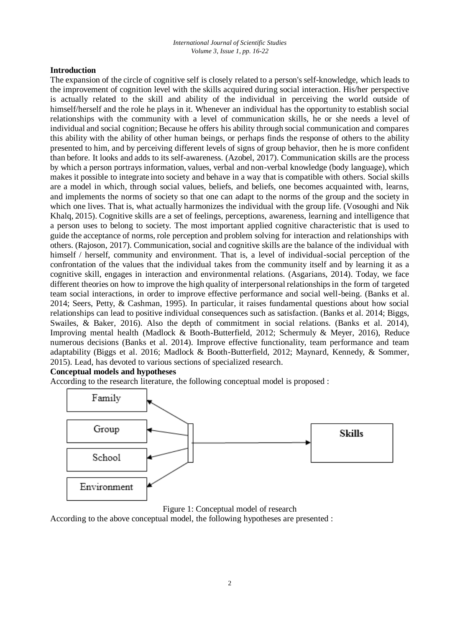#### **Introduction**

The expansion of the circle of cognitive self is closely related to a person's self-knowledge, which leads to the improvement of cognition level with the skills acquired during social interaction. His/her perspective is actually related to the skill and ability of the individual in perceiving the world outside of himself/herself and the role he plays in it. Whenever an individual has the opportunity to establish social relationships with the community with a level of communication skills, he or she needs a level of individual and social cognition; Because he offers his ability through social communication and compares this ability with the ability of other human beings, or perhaps finds the response of others to the ability presented to him, and by perceiving different levels of signs of group behavior, then he is more confident than before. It looks and adds to its self-awareness. (Azobel, 2017). Communication skills are the process by which a person portrays information, values, verbal and non-verbal knowledge (body language), which makes it possible to integrate into society and behave in a way that is compatible with others. Social skills are a model in which, through social values, beliefs, and beliefs, one becomes acquainted with, learns, and implements the norms of society so that one can adapt to the norms of the group and the society in which one lives. That is, what actually harmonizes the individual with the group life. (Vosoughi and Nik Khalq, 2015). Cognitive skills are a set of feelings, perceptions, awareness, learning and intelligence that a person uses to belong to society. The most important applied cognitive characteristic that is used to guide the acceptance of norms, role perception and problem solving for interaction and relationships with others. (Rajoson, 2017). Communication, social and cognitive skills are the balance of the individual with himself / herself, community and environment. That is, a level of individual-social perception of the confrontation of the values that the individual takes from the community itself and by learning it as a cognitive skill, engages in interaction and environmental relations. (Asgarians, 2014). Today, we face different theories on how to improve the high quality of interpersonal relationships in the form of targeted team social interactions, in order to improve effective performance and social well-being. (Banks et al. 2014; Seers, Petty, & Cashman, 1995). In particular, it raises fundamental questions about how social relationships can lead to positive individual consequences such as satisfaction. (Banks et al. 2014; Biggs, Swailes, & Baker, 2016). Also the depth of commitment in social relations. (Banks et al. 2014), Improving mental health (Madlock & Booth-Butterfield, 2012; Schermuly & Meyer, 2016), Reduce numerous decisions (Banks et al. 2014). Improve effective functionality, team performance and team adaptability (Biggs et al. 2016; Madlock & Booth-Butterfield, 2012; Maynard, Kennedy, & Sommer, 2015). Lead, has devoted to various sections of specialized research.

#### **Conceptual models and hypotheses**

According to the research literature, the following conceptual model is proposed :





According to the above conceptual model, the following hypotheses are presented :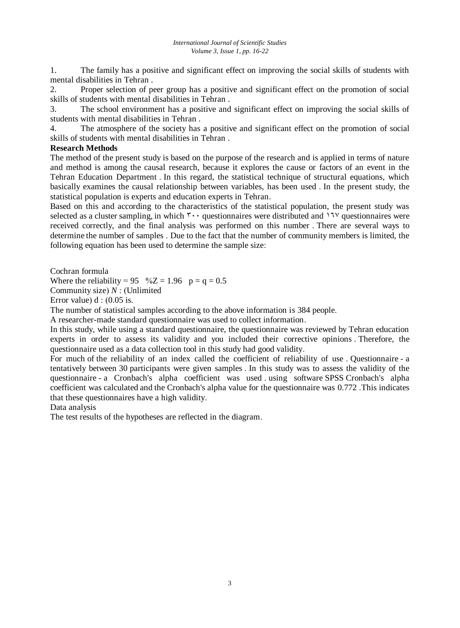1. The family has a positive and significant effect on improving the social skills of students with mental disabilities in Tehran .

2. Proper selection of peer group has a positive and significant effect on the promotion of social skills of students with mental disabilities in Tehran .

3. The school environment has a positive and significant effect on improving the social skills of students with mental disabilities in Tehran .

4. The atmosphere of the society has a positive and significant effect on the promotion of social skills of students with mental disabilities in Tehran .

#### **Research Methods**

The method of the present study is based on the purpose of the research and is applied in terms of nature and method is among the causal research, because it explores the cause or factors of an event in the Tehran Education Department . In this regard, the statistical technique of structural equations, which basically examines the causal relationship between variables, has been used . In the present study, the statistical population is experts and education experts in Tehran.

Based on this and according to the characteristics of the statistical population, the present study was selected as a cluster sampling, in which  $\mathbf{v} \cdot \mathbf{q}$  uestionnaires were distributed and  $17\mathcal{V}$  questionnaires were received correctly, and the final analysis was performed on this number . There are several ways to determine the number of samples . Due to the fact that the number of community members is limited, the following equation has been used to determine the sample size:

Cochran formula

Where the reliability = 95  $\%Z = 1.96$  p = q = 0.5

Community size)  $N$  : (Unlimited

Error value)  $d : (0.05$  is.

The number of statistical samples according to the above information is 384 people.

A researcher-made standard questionnaire was used to collect information.

In this study, while using a standard questionnaire, the questionnaire was reviewed by Tehran education experts in order to assess its validity and you included their corrective opinions . Therefore, the questionnaire used as a data collection tool in this study had good validity.

For much of the reliability of an index called the coefficient of reliability of use . Questionnaire - a tentatively between 30 participants were given samples . In this study was to assess the validity of the questionnaire - a Cronbach's alpha coefficient was used using software SPSS Cronbach's alpha coefficient was calculated and the Cronbach's alpha value for the questionnaire was 0.772 .This indicates that these questionnaires have a high validity.

Data analysis

The test results of the hypotheses are reflected in the diagram.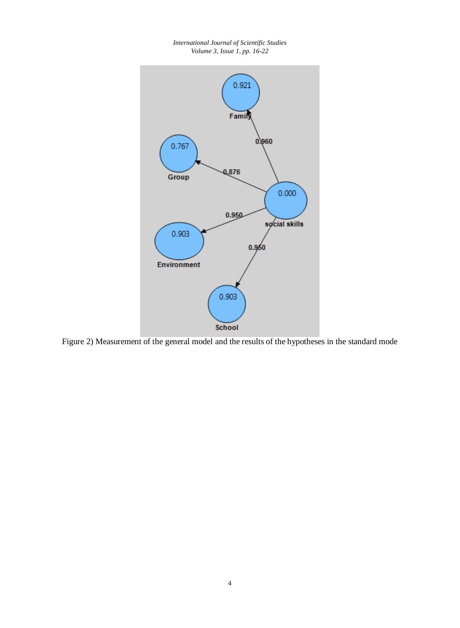

*International Journal of Scientific Studies*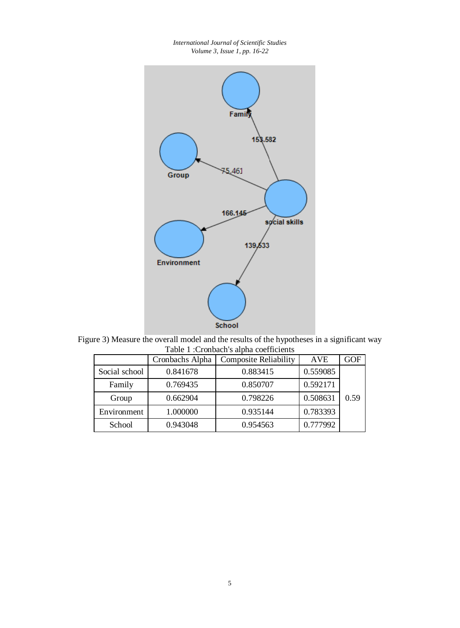*International Journal of Scientific Studies Volume 3, Issue 1, pp. 16-22*



Figure 3) Measure the overall model and the results of the hypotheses in a significant way Table 1 :Cronbach's alpha coefficients

|               | Cronbachs Alpha | <b>Composite Reliability</b> | <b>AVE</b> | GOF  |
|---------------|-----------------|------------------------------|------------|------|
| Social school | 0.841678        | 0.883415                     | 0.559085   |      |
| Family        | 0.769435        | 0.850707                     | 0.592171   |      |
| Group         | 0.662904        | 0.798226                     | 0.508631   | 0.59 |
| Environment   | 1.000000        | 0.935144                     | 0.783393   |      |
| School        | 0.943048        | 0.954563                     | 0.777992   |      |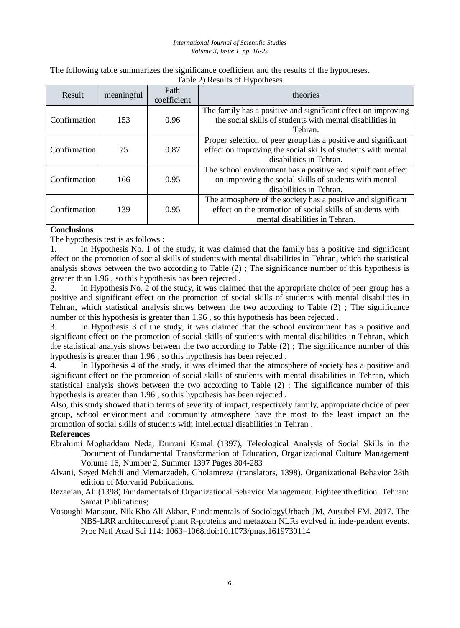#### *International Journal of Scientific Studies Volume 3, Issue 1, pp. 16-22*

The following table summarizes the significance coefficient and the results of the hypotheses. Table 2) Results of Hypotheses

| Result       | meaningful | Path<br>coefficient | theories                                                                                                                                                    |  |
|--------------|------------|---------------------|-------------------------------------------------------------------------------------------------------------------------------------------------------------|--|
| Confirmation | 153        | 0.96                | The family has a positive and significant effect on improving<br>the social skills of students with mental disabilities in<br>Tehran.                       |  |
| Confirmation | 75         | 0.87                | Proper selection of peer group has a positive and significant<br>effect on improving the social skills of students with mental<br>disabilities in Tehran.   |  |
| Confirmation | 166        | 0.95                | The school environment has a positive and significant effect<br>on improving the social skills of students with mental<br>disabilities in Tehran.           |  |
| Confirmation | 139        | 0.95                | The atmosphere of the society has a positive and significant<br>effect on the promotion of social skills of students with<br>mental disabilities in Tehran. |  |

#### **Conclusions**

The hypothesis test is as follows :

1. In Hypothesis No. 1 of the study, it was claimed that the family has a positive and significant effect on the promotion of social skills of students with mental disabilities in Tehran, which the statistical analysis shows between the two according to Table (2) ; The significance number of this hypothesis is greater than 1.96 , so this hypothesis has been rejected .

2. In Hypothesis No. 2 of the study, it was claimed that the appropriate choice of peer group has a positive and significant effect on the promotion of social skills of students with mental disabilities in Tehran, which statistical analysis shows between the two according to Table (2) ; The significance number of this hypothesis is greater than 1.96 , so this hypothesis has been rejected .

3. In Hypothesis 3 of the study, it was claimed that the school environment has a positive and significant effect on the promotion of social skills of students with mental disabilities in Tehran, which the statistical analysis shows between the two according to Table (2) ; The significance number of this hypothesis is greater than 1.96 , so this hypothesis has been rejected .

4. In Hypothesis 4 of the study, it was claimed that the atmosphere of society has a positive and significant effect on the promotion of social skills of students with mental disabilities in Tehran, which statistical analysis shows between the two according to Table (2) ; The significance number of this hypothesis is greater than 1.96 , so this hypothesis has been rejected .

Also, this study showed that in terms of severity of impact, respectively family, appropriate choice of peer group, school environment and community atmosphere have the most to the least impact on the promotion of social skills of students with intellectual disabilities in Tehran .

#### **References**

- Ebrahimi Moghaddam Neda, Durrani Kamal (1397), Teleological Analysis of Social Skills in the Document of Fundamental Transformation of Education, Organizational Culture Management Volume 16, Number 2, Summer 1397 Pages 304-283
- Alvani, Seyed Mehdi and Memarzadeh, Gholamreza (translators, 1398), Organizational Behavior 28th edition of Morvarid Publications.
- Rezaeian, Ali (1398) Fundamentals of Organizational Behavior Management. Eighteenth edition. Tehran: Samat Publications;
- Vosoughi Mansour, Nik Kho Ali Akbar, Fundamentals of SociologyUrbach JM, Ausubel FM. 2017. The NBS-LRR architecturesof plant R-proteins and metazoan NLRs evolved in inde-pendent events. Proc Natl Acad Sci 114: 1063–1068.doi:10.1073/pnas.1619730114